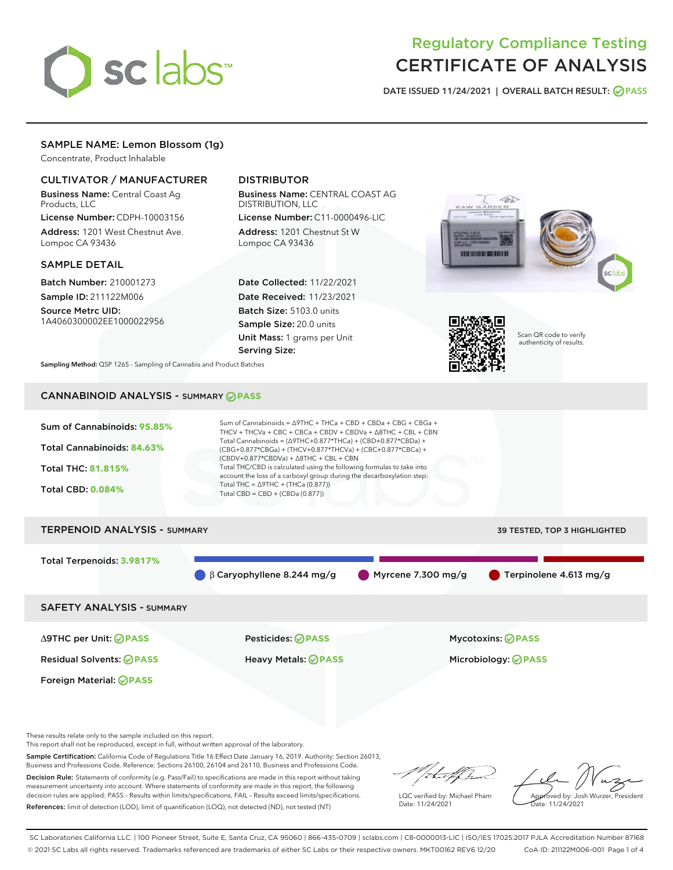

# Regulatory Compliance Testing CERTIFICATE OF ANALYSIS

DATE ISSUED 11/24/2021 | OVERALL BATCH RESULT: @ PASS

## SAMPLE NAME: Lemon Blossom (1g)

Concentrate, Product Inhalable

#### CULTIVATOR / MANUFACTURER

Business Name: Central Coast Ag Products, LLC

License Number: CDPH-10003156 Address: 1201 West Chestnut Ave. Lompoc CA 93436

#### SAMPLE DETAIL

Batch Number: 210001273 Sample ID: 211122M006

Source Metrc UID: 1A4060300002EE1000022956

## DISTRIBUTOR

Business Name: CENTRAL COAST AG DISTRIBUTION, LLC License Number: C11-0000496-LIC

Address: 1201 Chestnut St W Lompoc CA 93436

Date Collected: 11/22/2021 Date Received: 11/23/2021 Batch Size: 5103.0 units Sample Size: 20.0 units Unit Mass: 1 grams per Unit Serving Size:





Scan QR code to verify authenticity of results.

Sampling Method: QSP 1265 - Sampling of Cannabis and Product Batches

## CANNABINOID ANALYSIS - SUMMARY **PASS**



These results relate only to the sample included on this report.

This report shall not be reproduced, except in full, without written approval of the laboratory.

Sample Certification: California Code of Regulations Title 16 Effect Date January 16, 2019. Authority: Section 26013, Business and Professions Code. Reference: Sections 26100, 26104 and 26110, Business and Professions Code. Decision Rule: Statements of conformity (e.g. Pass/Fail) to specifications are made in this report without taking

measurement uncertainty into account. Where statements of conformity are made in this report, the following decision rules are applied: PASS – Results within limits/specifications, FAIL – Results exceed limits/specifications. References: limit of detection (LOD), limit of quantification (LOQ), not detected (ND), not tested (NT)

that fCh

LQC verified by: Michael Pham Date: 11/24/2021

Approved by: Josh Wurzer, President ate: 11/24/2021

SC Laboratories California LLC. | 100 Pioneer Street, Suite E, Santa Cruz, CA 95060 | 866-435-0709 | sclabs.com | C8-0000013-LIC | ISO/IES 17025:2017 PJLA Accreditation Number 87168 © 2021 SC Labs all rights reserved. Trademarks referenced are trademarks of either SC Labs or their respective owners. MKT00162 REV6 12/20 CoA ID: 211122M006-001 Page 1 of 4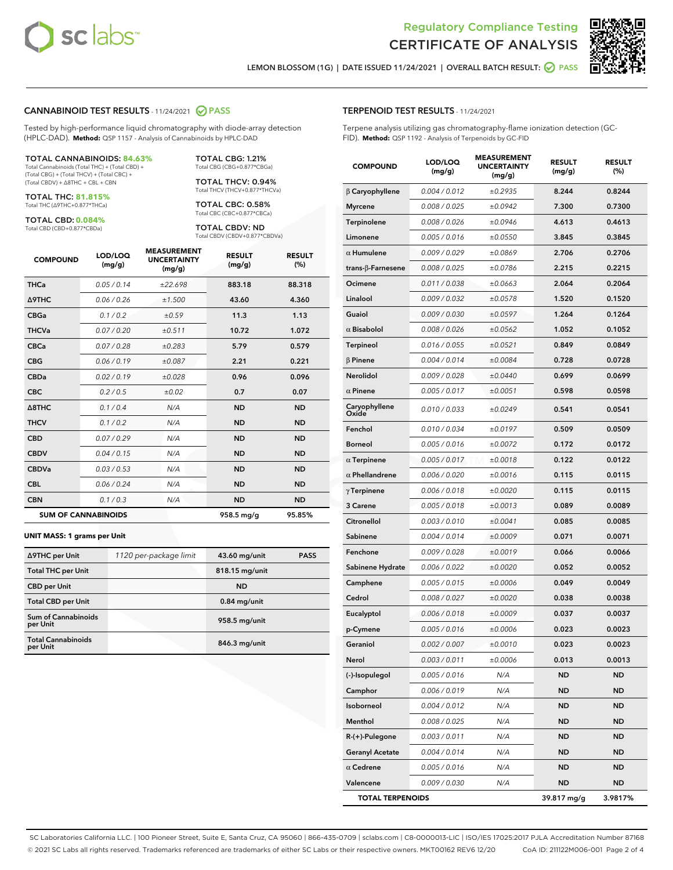

Terpene analysis utilizing gas chromatography-flame ionization detection (GC-

MEASUREMENT



LEMON BLOSSOM (1G) | DATE ISSUED 11/24/2021 | OVERALL BATCH RESULT: **● PASS** 

TERPENOID TEST RESULTS - 11/24/2021

FID). **Method:** QSP 1192 - Analysis of Terpenoids by GC-FID

#### CANNABINOID TEST RESULTS - 11/24/2021 2 PASS

Tested by high-performance liquid chromatography with diode-array detection (HPLC-DAD). **Method:** QSP 1157 - Analysis of Cannabinoids by HPLC-DAD

#### TOTAL CANNABINOIDS: **84.63%**

Total Cannabinoids (Total THC) + (Total CBD) + (Total CBG) + (Total THCV) + (Total CBC) + (Total CBDV) + ∆8THC + CBL + CBN

TOTAL THC: **81.815%** Total THC (∆9THC+0.877\*THCa)

TOTAL CBD: **0.084%**

Total CBD (CBD+0.877\*CBDa)

TOTAL CBG: 1.21% Total CBG (CBG+0.877\*CBGa)

TOTAL THCV: 0.94% Total THCV (THCV+0.877\*THCVa)

TOTAL CBC: 0.58% Total CBC (CBC+0.877\*CBCa)

TOTAL CBDV: ND Total CBDV (CBDV+0.877\*CBDVa)

| <b>COMPOUND</b> | LOD/LOQ<br>(mg/g)          | <b>MEASUREMENT</b><br><b>UNCERTAINTY</b><br>(mg/g) | <b>RESULT</b><br>(mg/g) | <b>RESULT</b><br>(%) |
|-----------------|----------------------------|----------------------------------------------------|-------------------------|----------------------|
| <b>THCa</b>     | 0.05/0.14                  | ±22.698                                            | 883.18                  | 88.318               |
| <b>A9THC</b>    | 0.06 / 0.26                | ±1.500                                             | 43.60                   | 4.360                |
| <b>CBGa</b>     | 0.1/0.2                    | ±0.59                                              | 11.3                    | 1.13                 |
| <b>THCVa</b>    | 0.07 / 0.20                | ±0.511                                             | 10.72                   | 1.072                |
| <b>CBCa</b>     | 0.07/0.28                  | ±0.283                                             | 5.79                    | 0.579                |
| <b>CBG</b>      | 0.06/0.19                  | ±0.087                                             | 2.21                    | 0.221                |
| <b>CBDa</b>     | 0.02/0.19                  | ±0.028                                             | 0.96                    | 0.096                |
| <b>CBC</b>      | 0.2 / 0.5                  | ±0.02                                              | 0.7                     | 0.07                 |
| A8THC           | 0.1 / 0.4                  | N/A                                                | <b>ND</b>               | <b>ND</b>            |
| <b>THCV</b>     | 0.1 / 0.2                  | N/A                                                | <b>ND</b>               | <b>ND</b>            |
| <b>CBD</b>      | 0.07/0.29                  | N/A                                                | <b>ND</b>               | <b>ND</b>            |
| <b>CBDV</b>     | 0.04 / 0.15                | N/A                                                | <b>ND</b>               | <b>ND</b>            |
| <b>CBDVa</b>    | 0.03 / 0.53                | N/A                                                | <b>ND</b>               | <b>ND</b>            |
| <b>CBL</b>      | 0.06 / 0.24                | N/A                                                | <b>ND</b>               | <b>ND</b>            |
| <b>CBN</b>      | 0.1/0.3                    | N/A                                                | <b>ND</b>               | <b>ND</b>            |
|                 | <b>SUM OF CANNABINOIDS</b> |                                                    | 958.5 mg/g              | 95.85%               |

#### **UNIT MASS: 1 grams per Unit**

| ∆9THC per Unit                        | 1120 per-package limit | 43.60 mg/unit   | <b>PASS</b> |
|---------------------------------------|------------------------|-----------------|-------------|
| <b>Total THC per Unit</b>             |                        | 818.15 mg/unit  |             |
| <b>CBD per Unit</b>                   |                        | <b>ND</b>       |             |
| <b>Total CBD per Unit</b>             |                        | $0.84$ mg/unit  |             |
| Sum of Cannabinoids<br>per Unit       |                        | 958.5 mg/unit   |             |
| <b>Total Cannabinoids</b><br>per Unit |                        | $846.3$ mg/unit |             |

| <b>COMPOUND</b>         | LOD/LOQ<br>(mg/g)    | <b>MEASUREMENT</b><br><b>UNCERTAINTY</b><br>(mg/g) | <b>RESULT</b><br>(mg/g) | <b>RESULT</b><br>$(\%)$ |
|-------------------------|----------------------|----------------------------------------------------|-------------------------|-------------------------|
| $\beta$ Caryophyllene   | 0.004 / 0.012        | ±0.2935                                            | 8.244                   | 0.8244                  |
| <b>Myrcene</b>          | 0.008 / 0.025        | ±0.0942                                            | 7.300                   | 0.7300                  |
| <b>Terpinolene</b>      | 0.008 / 0.026        | ±0.0946                                            | 4.613                   | 0.4613                  |
| Limonene                | 0.005 / 0.016        | ±0.0550                                            | 3.845                   | 0.3845                  |
| $\alpha$ Humulene       | 0.009/0.029          | ±0.0869                                            | 2.706                   | 0.2706                  |
| trans-ß-Farnesene       | 0.008 / 0.025        | ±0.0786                                            | 2.215                   | 0.2215                  |
| Ocimene                 | 0.011/0.038          | ±0.0663                                            | 2.064                   | 0.2064                  |
| Linalool                | 0.009 / 0.032        | ±0.0578                                            | 1.520                   | 0.1520                  |
| Guaiol                  | 0.009 / 0.030        | ±0.0597                                            | 1.264                   | 0.1264                  |
| $\alpha$ Bisabolol      | 0.008 / 0.026        | ±0.0562                                            | 1.052                   | 0.1052                  |
| Terpineol               | 0.016 / 0.055        | ±0.0521                                            | 0.849                   | 0.0849                  |
| $\beta$ Pinene          | 0.004 / 0.014        | ±0.0084                                            | 0.728                   | 0.0728                  |
| Nerolidol               | 0.009 / 0.028        | ±0.0440                                            | 0.699                   | 0.0699                  |
| $\alpha$ Pinene         | 0.005 / 0.017        | ±0.0051                                            | 0.598                   | 0.0598                  |
| Caryophyllene<br>Oxide  | 0.010 / 0.033        | ±0.0249                                            | 0.541                   | 0.0541                  |
| Fenchol                 | 0.010 / 0.034        | ±0.0197                                            | 0.509                   | 0.0509                  |
| <b>Borneol</b>          | 0.005 / 0.016        | ±0.0072                                            | 0.172                   | 0.0172                  |
| $\alpha$ Terpinene      | 0.005 / 0.017        | ±0.0018                                            | 0.122                   | 0.0122                  |
| $\alpha$ Phellandrene   | <i>0.006 / 0.020</i> | ±0.0016                                            | 0.115                   | 0.0115                  |
| $\gamma$ Terpinene      | 0.006 / 0.018        | ±0.0020                                            | 0.115                   | 0.0115                  |
| 3 Carene                | 0.005 / 0.018        | ±0.0013                                            | 0.089                   | 0.0089                  |
| Citronellol             | 0.003 / 0.010        | ±0.0041                                            | 0.085                   | 0.0085                  |
| Sabinene                | 0.004 / 0.014        | ±0.0009                                            | 0.071                   | 0.0071                  |
| Fenchone                | 0.009 / 0.028        | ±0.0019                                            | 0.066                   | 0.0066                  |
| Sabinene Hydrate        | 0.006 / 0.022        | ±0.0020                                            | 0.052                   | 0.0052                  |
| Camphene                | 0.005 / 0.015        | ±0.0006                                            | 0.049                   | 0.0049                  |
| Cedrol                  | 0.008 / 0.027        | ±0.0020                                            | 0.038                   | 0.0038                  |
| Eucalyptol              | 0.006 / 0.018        | ±0.0009                                            | 0.037                   | 0.0037                  |
| p-Cymene                | 0.005 / 0.016        | ±0.0006                                            | 0.023                   | 0.0023                  |
| Geraniol                | 0.002 / 0.007        | ±0.0010                                            | 0.023                   | 0.0023                  |
| Nerol                   | 0.003 / 0.011        | ±0.0006                                            | 0.013                   | 0.0013                  |
| (-)-Isopulegol          | 0.005 / 0.016        | N/A                                                | <b>ND</b>               | ND                      |
| Camphor                 | 0.006 / 0.019        | N/A                                                | ND                      | ND                      |
| Isoborneol              | 0.004 / 0.012        | N/A                                                | ND                      | ND                      |
| Menthol                 | 0.008 / 0.025        | N/A                                                | ND                      | ND                      |
| R-(+)-Pulegone          | 0.003 / 0.011        | N/A                                                | ND                      | ND                      |
| <b>Geranyl Acetate</b>  | 0.004 / 0.014        | N/A                                                | ND                      | ND                      |
| $\alpha$ Cedrene        | 0.005 / 0.016        | N/A                                                | ND                      | ND                      |
| Valencene               | 0.009 / 0.030        | N/A                                                | ND                      | ND                      |
| <b>TOTAL TERPENOIDS</b> |                      |                                                    | 39.817 mg/g             | 3.9817%                 |

SC Laboratories California LLC. | 100 Pioneer Street, Suite E, Santa Cruz, CA 95060 | 866-435-0709 | sclabs.com | C8-0000013-LIC | ISO/IES 17025:2017 PJLA Accreditation Number 87168 © 2021 SC Labs all rights reserved. Trademarks referenced are trademarks of either SC Labs or their respective owners. MKT00162 REV6 12/20 CoA ID: 211122M006-001 Page 2 of 4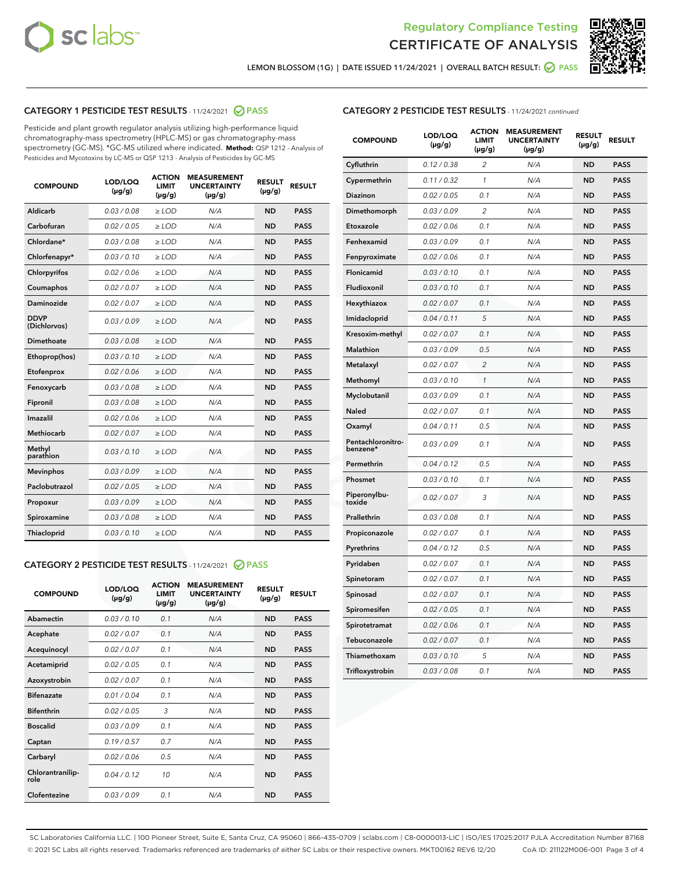



LEMON BLOSSOM (1G) | DATE ISSUED 11/24/2021 | OVERALL BATCH RESULT: @ PASS

### CATEGORY 1 PESTICIDE TEST RESULTS - 11/24/2021 2 PASS

Pesticide and plant growth regulator analysis utilizing high-performance liquid chromatography-mass spectrometry (HPLC-MS) or gas chromatography-mass spectrometry (GC-MS). \*GC-MS utilized where indicated. **Method:** QSP 1212 - Analysis of Pesticides and Mycotoxins by LC-MS or QSP 1213 - Analysis of Pesticides by GC-MS

| <b>COMPOUND</b>             | LOD/LOQ<br>$(\mu g/g)$ | <b>ACTION</b><br><b>LIMIT</b><br>$(\mu g/g)$ | <b>MEASUREMENT</b><br><b>UNCERTAINTY</b><br>$(\mu g/g)$ | <b>RESULT</b><br>$(\mu g/g)$ | <b>RESULT</b> |
|-----------------------------|------------------------|----------------------------------------------|---------------------------------------------------------|------------------------------|---------------|
| Aldicarb                    | 0.03 / 0.08            | $\ge$ LOD                                    | N/A                                                     | <b>ND</b>                    | <b>PASS</b>   |
| Carbofuran                  | 0.02 / 0.05            | $\ge$ LOD                                    | N/A                                                     | <b>ND</b>                    | <b>PASS</b>   |
| Chlordane*                  | 0.03 / 0.08            | $>$ LOD                                      | N/A                                                     | <b>ND</b>                    | <b>PASS</b>   |
| Chlorfenapyr*               | 0.03/0.10              | $>$ LOD                                      | N/A                                                     | <b>ND</b>                    | <b>PASS</b>   |
| Chlorpyrifos                | 0.02 / 0.06            | $\ge$ LOD                                    | N/A                                                     | <b>ND</b>                    | <b>PASS</b>   |
| Coumaphos                   | 0.02 / 0.07            | $\ge$ LOD                                    | N/A                                                     | <b>ND</b>                    | <b>PASS</b>   |
| Daminozide                  | 0.02 / 0.07            | $\ge$ LOD                                    | N/A                                                     | <b>ND</b>                    | <b>PASS</b>   |
| <b>DDVP</b><br>(Dichlorvos) | 0.03/0.09              | $\ge$ LOD                                    | N/A                                                     | <b>ND</b>                    | <b>PASS</b>   |
| Dimethoate                  | 0.03 / 0.08            | $\ge$ LOD                                    | N/A                                                     | <b>ND</b>                    | <b>PASS</b>   |
| Ethoprop(hos)               | 0.03/0.10              | $>$ LOD                                      | N/A                                                     | <b>ND</b>                    | <b>PASS</b>   |
| Etofenprox                  | 0.02 / 0.06            | $\ge$ LOD                                    | N/A                                                     | <b>ND</b>                    | <b>PASS</b>   |
| Fenoxycarb                  | 0.03/0.08              | $\ge$ LOD                                    | N/A                                                     | <b>ND</b>                    | <b>PASS</b>   |
| Fipronil                    | 0.03/0.08              | $\ge$ LOD                                    | N/A                                                     | <b>ND</b>                    | <b>PASS</b>   |
| Imazalil                    | 0.02 / 0.06            | $\geq$ LOD                                   | N/A                                                     | <b>ND</b>                    | <b>PASS</b>   |
| Methiocarb                  | 0.02 / 0.07            | $\ge$ LOD                                    | N/A                                                     | <b>ND</b>                    | <b>PASS</b>   |
| Methyl<br>parathion         | 0.03/0.10              | $\ge$ LOD                                    | N/A                                                     | <b>ND</b>                    | <b>PASS</b>   |
| <b>Mevinphos</b>            | 0.03/0.09              | $\ge$ LOD                                    | N/A                                                     | <b>ND</b>                    | <b>PASS</b>   |
| Paclobutrazol               | 0.02 / 0.05            | $\ge$ LOD                                    | N/A                                                     | <b>ND</b>                    | <b>PASS</b>   |
| Propoxur                    | 0.03/0.09              | $\ge$ LOD                                    | N/A                                                     | <b>ND</b>                    | <b>PASS</b>   |
| Spiroxamine                 | 0.03 / 0.08            | $\ge$ LOD                                    | N/A                                                     | <b>ND</b>                    | <b>PASS</b>   |
| Thiacloprid                 | 0.03/0.10              | $\ge$ LOD                                    | N/A                                                     | <b>ND</b>                    | <b>PASS</b>   |

#### CATEGORY 2 PESTICIDE TEST RESULTS - 11/24/2021 @ PASS

| <b>COMPOUND</b>          | LOD/LOO<br>$(\mu g/g)$ | <b>ACTION</b><br>LIMIT<br>$(\mu g/g)$ | <b>MEASUREMENT</b><br><b>UNCERTAINTY</b><br>$(\mu g/g)$ | <b>RESULT</b><br>$(\mu g/g)$ | <b>RESULT</b> |  |
|--------------------------|------------------------|---------------------------------------|---------------------------------------------------------|------------------------------|---------------|--|
| Abamectin                | 0.03/0.10              | 0.1                                   | N/A                                                     | <b>ND</b>                    | <b>PASS</b>   |  |
| Acephate                 | 0.02/0.07              | 0.1                                   | N/A                                                     | <b>ND</b>                    | <b>PASS</b>   |  |
| Acequinocyl              | 0.02/0.07              | 0.1                                   | N/A                                                     | <b>ND</b>                    | <b>PASS</b>   |  |
| Acetamiprid              | 0.02 / 0.05            | 0.1                                   | N/A                                                     | <b>ND</b>                    | <b>PASS</b>   |  |
| Azoxystrobin             | 0.02/0.07              | 0.1                                   | N/A                                                     | <b>ND</b>                    | <b>PASS</b>   |  |
| <b>Bifenazate</b>        | 0.01 / 0.04            | 0.1                                   | N/A                                                     | <b>ND</b>                    | <b>PASS</b>   |  |
| <b>Bifenthrin</b>        | 0.02 / 0.05            | 3                                     | N/A                                                     | <b>ND</b>                    | <b>PASS</b>   |  |
| <b>Boscalid</b>          | 0.03/0.09              | 0.1                                   | N/A                                                     | <b>ND</b>                    | <b>PASS</b>   |  |
| Captan                   | 0.19/0.57              | 0.7                                   | N/A                                                     | <b>ND</b>                    | <b>PASS</b>   |  |
| Carbaryl                 | 0.02/0.06              | 0.5                                   | N/A                                                     | <b>ND</b>                    | <b>PASS</b>   |  |
| Chlorantranilip-<br>role | 0.04/0.12              | 10                                    | N/A                                                     | <b>ND</b>                    | <b>PASS</b>   |  |
| Clofentezine             | 0.03/0.09              | 0.1                                   | N/A                                                     | <b>ND</b>                    | <b>PASS</b>   |  |

| <b>CATEGORY 2 PESTICIDE TEST RESULTS</b> - 11/24/2021 continued |  |
|-----------------------------------------------------------------|--|
|                                                                 |  |

| <b>COMPOUND</b>               | LOD/LOQ<br>(µg/g) | <b>ACTION</b><br><b>LIMIT</b><br>(µg/g) | <b>MEASUREMENT</b><br><b>UNCERTAINTY</b><br>$(\mu g/g)$ | <b>RESULT</b><br>(µg/g) | <b>RESULT</b> |
|-------------------------------|-------------------|-----------------------------------------|---------------------------------------------------------|-------------------------|---------------|
| Cyfluthrin                    | 0.12 / 0.38       | $\overline{c}$                          | N/A                                                     | <b>ND</b>               | <b>PASS</b>   |
| Cypermethrin                  | 0.11 / 0.32       | $\mathcal{I}$                           | N/A                                                     | <b>ND</b>               | <b>PASS</b>   |
| <b>Diazinon</b>               | 0.02 / 0.05       | 0.1                                     | N/A                                                     | <b>ND</b>               | <b>PASS</b>   |
| Dimethomorph                  | 0.03 / 0.09       | 2                                       | N/A                                                     | <b>ND</b>               | <b>PASS</b>   |
| Etoxazole                     | 0.02 / 0.06       | 0.1                                     | N/A                                                     | <b>ND</b>               | <b>PASS</b>   |
| Fenhexamid                    | 0.03 / 0.09       | 0.1                                     | N/A                                                     | <b>ND</b>               | <b>PASS</b>   |
| Fenpyroximate                 | 0.02 / 0.06       | 0.1                                     | N/A                                                     | <b>ND</b>               | <b>PASS</b>   |
| Flonicamid                    | 0.03 / 0.10       | 0.1                                     | N/A                                                     | <b>ND</b>               | <b>PASS</b>   |
| Fludioxonil                   | 0.03/0.10         | 0.1                                     | N/A                                                     | <b>ND</b>               | <b>PASS</b>   |
| Hexythiazox                   | 0.02 / 0.07       | 0.1                                     | N/A                                                     | <b>ND</b>               | <b>PASS</b>   |
| Imidacloprid                  | 0.04 / 0.11       | 5                                       | N/A                                                     | <b>ND</b>               | <b>PASS</b>   |
| Kresoxim-methyl               | 0.02 / 0.07       | 0.1                                     | N/A                                                     | <b>ND</b>               | <b>PASS</b>   |
| <b>Malathion</b>              | 0.03 / 0.09       | 0.5                                     | N/A                                                     | <b>ND</b>               | <b>PASS</b>   |
| Metalaxyl                     | 0.02 / 0.07       | $\overline{c}$                          | N/A                                                     | <b>ND</b>               | <b>PASS</b>   |
| Methomyl                      | 0.03 / 0.10       | 1                                       | N/A                                                     | <b>ND</b>               | <b>PASS</b>   |
| Myclobutanil                  | 0.03 / 0.09       | 0.1                                     | N/A                                                     | <b>ND</b>               | <b>PASS</b>   |
| Naled                         | 0.02 / 0.07       | 0.1                                     | N/A                                                     | <b>ND</b>               | <b>PASS</b>   |
| Oxamyl                        | 0.04 / 0.11       | 0.5                                     | N/A                                                     | <b>ND</b>               | <b>PASS</b>   |
| Pentachloronitro-<br>benzene* | 0.03 / 0.09       | 0.1                                     | N/A                                                     | <b>ND</b>               | <b>PASS</b>   |
| Permethrin                    | 0.04 / 0.12       | 0.5                                     | N/A                                                     | <b>ND</b>               | <b>PASS</b>   |
| Phosmet                       | 0.03 / 0.10       | 0.1                                     | N/A                                                     | <b>ND</b>               | <b>PASS</b>   |
| Piperonylbu-<br>toxide        | 0.02 / 0.07       | 3                                       | N/A                                                     | <b>ND</b>               | <b>PASS</b>   |
| Prallethrin                   | 0.03 / 0.08       | 0.1                                     | N/A                                                     | <b>ND</b>               | <b>PASS</b>   |
| Propiconazole                 | 0.02 / 0.07       | 0.1                                     | N/A                                                     | <b>ND</b>               | <b>PASS</b>   |
| Pyrethrins                    | 0.04 / 0.12       | 0.5                                     | N/A                                                     | <b>ND</b>               | <b>PASS</b>   |
| Pyridaben                     | 0.02 / 0.07       | 0.1                                     | N/A                                                     | <b>ND</b>               | <b>PASS</b>   |
| Spinetoram                    | 0.02 / 0.07       | 0.1                                     | N/A                                                     | <b>ND</b>               | <b>PASS</b>   |
| Spinosad                      | 0.02 / 0.07       | 0.1                                     | N/A                                                     | <b>ND</b>               | <b>PASS</b>   |
| Spiromesifen                  | 0.02 / 0.05       | 0.1                                     | N/A                                                     | <b>ND</b>               | <b>PASS</b>   |
| Spirotetramat                 | 0.02 / 0.06       | 0.1                                     | N/A                                                     | <b>ND</b>               | <b>PASS</b>   |
| Tebuconazole                  | 0.02 / 0.07       | 0.1                                     | N/A                                                     | <b>ND</b>               | <b>PASS</b>   |
| Thiamethoxam                  | 0.03 / 0.10       | 5                                       | N/A                                                     | <b>ND</b>               | <b>PASS</b>   |
| Trifloxystrobin               | 0.03 / 0.08       | 0.1                                     | N/A                                                     | <b>ND</b>               | <b>PASS</b>   |

SC Laboratories California LLC. | 100 Pioneer Street, Suite E, Santa Cruz, CA 95060 | 866-435-0709 | sclabs.com | C8-0000013-LIC | ISO/IES 17025:2017 PJLA Accreditation Number 87168 © 2021 SC Labs all rights reserved. Trademarks referenced are trademarks of either SC Labs or their respective owners. MKT00162 REV6 12/20 CoA ID: 211122M006-001 Page 3 of 4